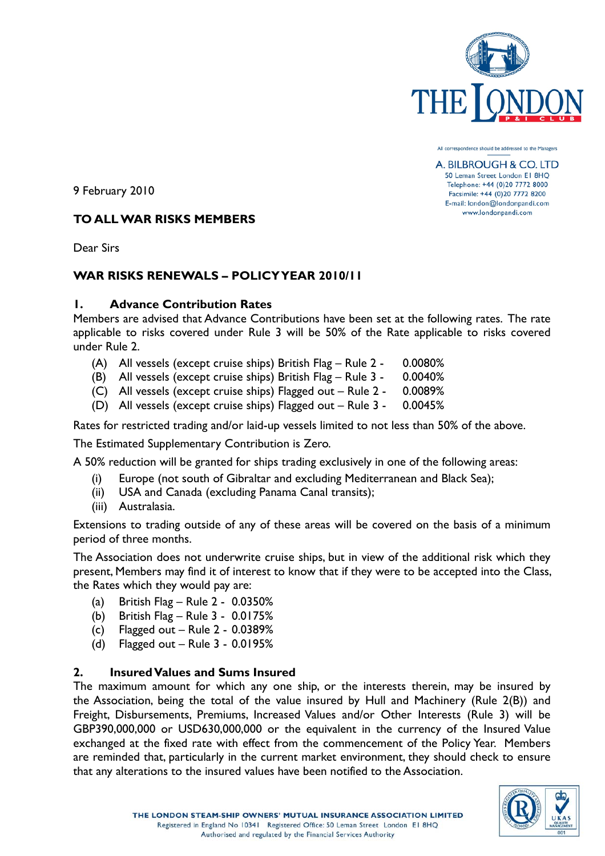

All correspondence should be addressed to the Managers

A. BILBROUGH & CO. LTD 50 Leman Street London El 8HO Telephone: +44 (0)20 7772 8000 Facsimile: +44 (0)20 7772 8200 E-mail: london@londonpandi.com www.londonpandi.com

9 February 2010

# **TO ALL WAR RISKS MEMBERS**

Dear Sirs

# **WAR RISKS RENEWALS – POLICY YEAR 2010/11**

## **1. Advance Contribution Rates**

Members are advised that Advance Contributions have been set at the following rates. The rate applicable to risks covered under Rule 3 will be 50% of the Rate applicable to risks covered under Rule 2.

- (A) All vessels (except cruise ships) British Flag Rule 2 0.0080%
- (B) All vessels (except cruise ships) British Flag Rule 3 0.0040%
- (C) All vessels (except cruise ships) Flagged out Rule 2 0.0089%
- (D) All vessels (except cruise ships) Flagged out Rule 3 0.0045%

Rates for restricted trading and/or laid-up vessels limited to not less than 50% of the above.

The Estimated Supplementary Contribution is Zero.

A 50% reduction will be granted for ships trading exclusively in one of the following areas:

- (i) Europe (not south of Gibraltar and excluding Mediterranean and Black Sea);
- (ii) USA and Canada (excluding Panama Canal transits);
- (iii) Australasia.

Extensions to trading outside of any of these areas will be covered on the basis of a minimum period of three months.

The Association does not underwrite cruise ships, but in view of the additional risk which they present, Members may find it of interest to know that if they were to be accepted into the Class, the Rates which they would pay are:

- (a) British Flag Rule 2 0.0350%
- (b) British Flag Rule 3 0.0175%
- (c) Flagged out  $-$  Rule 2 0.0389%
- (d) Flagged out Rule 3 0.0195%

## **2. Insured Values and Sums Insured**

The maximum amount for which any one ship, or the interests therein, may be insured by the Association, being the total of the value insured by Hull and Machinery (Rule 2(B)) and Freight, Disbursements, Premiums, Increased Values and/or Other Interests (Rule 3) will be GBP390,000,000 or USD630,000,000 or the equivalent in the currency of the Insured Value exchanged at the fixed rate with effect from the commencement of the Policy Year. Members are reminded that, particularly in the current market environment, they should check to ensure that any alterations to the insured values have been notified to the Association.

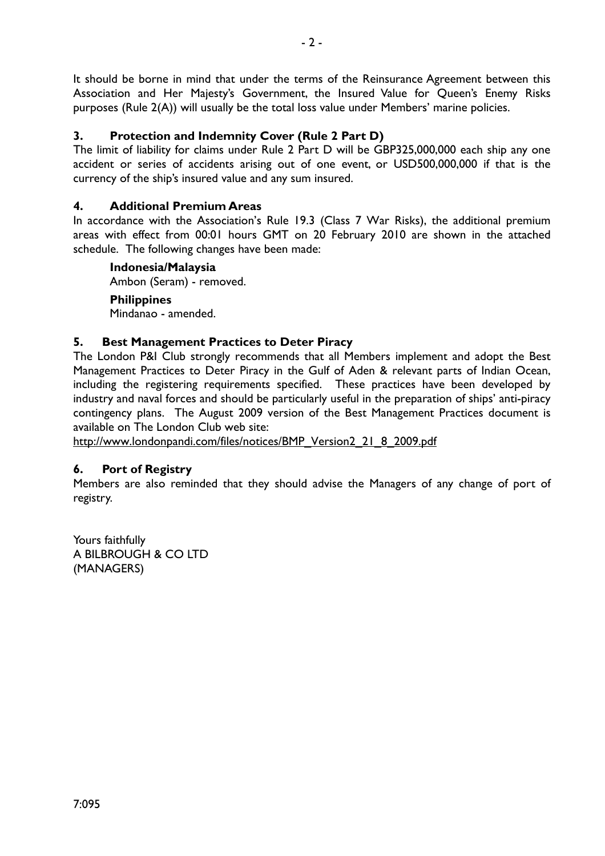It should be borne in mind that under the terms of the Reinsurance Agreement between this Association and Her Majesty's Government, the Insured Value for Queen's Enemy Risks purposes (Rule 2(A)) will usually be the total loss value under Members' marine policies.

# **3. Protection and Indemnity Cover (Rule 2 Part D)**

The limit of liability for claims under Rule 2 Part D will be GBP325,000,000 each ship any one accident or series of accidents arising out of one event, or USD500,000,000 if that is the currency of the ship's insured value and any sum insured.

## **4. Additional Premium Areas**

In accordance with the Association's Rule 19.3 (Class 7 War Risks), the additional premium areas with effect from 00:01 hours GMT on 20 February 2010 are shown in the attached schedule. The following changes have been made:

### **Indonesia/Malaysia**

Ambon (Seram) - removed.

### **Philippines**

Mindanao - amended.

## **5. Best Management Practices to Deter Piracy**

The London P&I Club strongly recommends that all Members implement and adopt the Best Management Practices to Deter Piracy in the Gulf of Aden & relevant parts of Indian Ocean, including the registering requirements specified. These practices have been developed by industry and naval forces and should be particularly useful in the preparation of ships' anti-piracy contingency plans. The August 2009 version of the Best Management Practices document is available on The London Club web site:

http://www.londonpandi.com/files/notices/BMP\_Version2\_21\_8\_2009.pdf

## **6. Port of Registry**

Members are also reminded that they should advise the Managers of any change of port of registry.

Yours faithfully A BILBROUGH & CO LTD (MANAGERS)